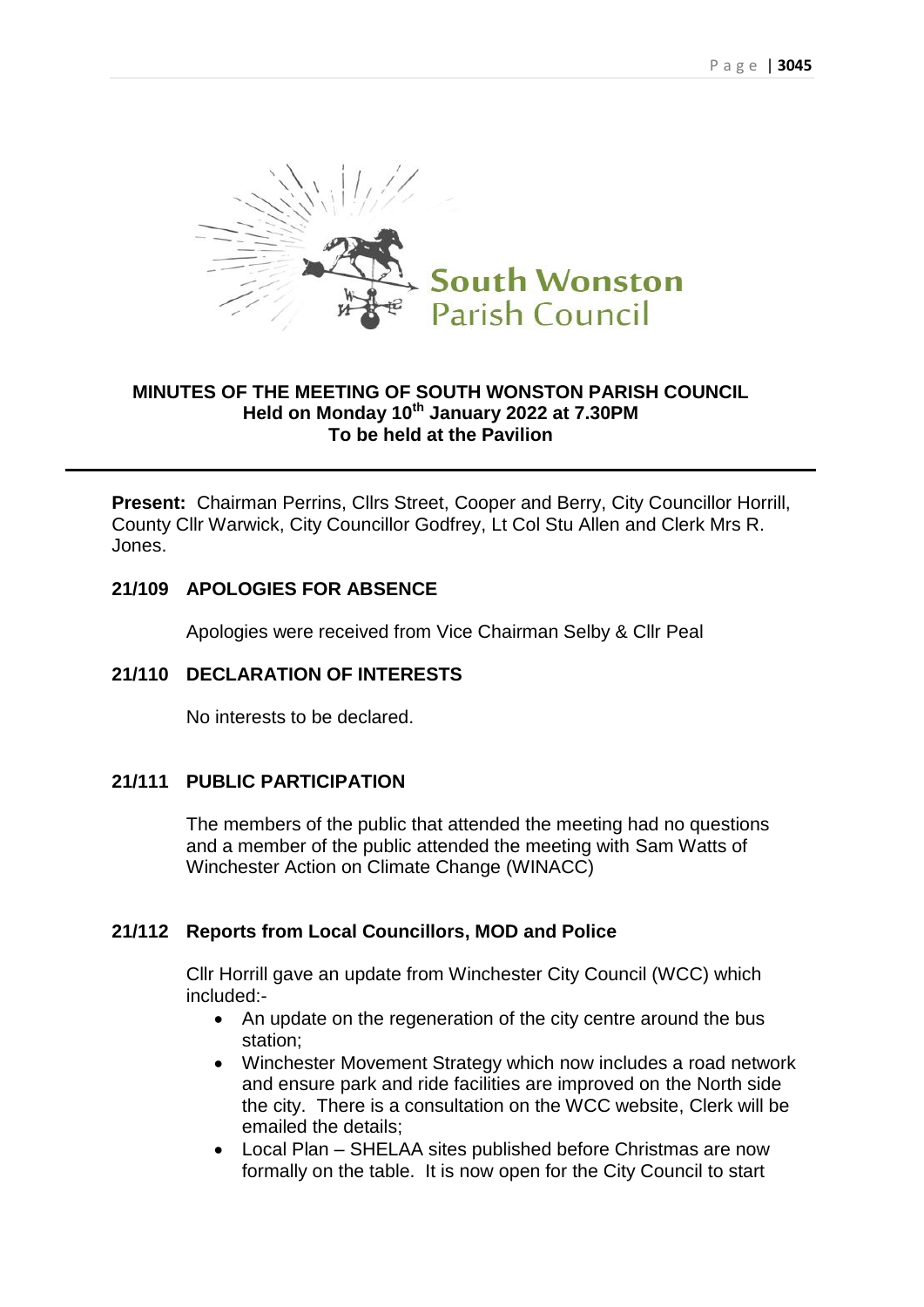

### **MINUTES OF THE MEETING OF SOUTH WONSTON PARISH COUNCIL Held on Monday 10th January 2022 at 7.30PM To be held at the Pavilion**

**Present:** Chairman Perrins, Cllrs Street, Cooper and Berry, City Councillor Horrill, County Cllr Warwick, City Councillor Godfrey, Lt Col Stu Allen and Clerk Mrs R. Jones.

### **21/109 APOLOGIES FOR ABSENCE**

Apologies were received from Vice Chairman Selby & Cllr Peal

### **21/110 DECLARATION OF INTERESTS**

No interests to be declared.

#### **21/111 PUBLIC PARTICIPATION**

The members of the public that attended the meeting had no questions and a member of the public attended the meeting with Sam Watts of Winchester Action on Climate Change (WINACC)

#### **21/112 Reports from Local Councillors, MOD and Police**

Cllr Horrill gave an update from Winchester City Council (WCC) which included:-

- An update on the regeneration of the city centre around the bus station;
- Winchester Movement Strategy which now includes a road network and ensure park and ride facilities are improved on the North side the city. There is a consultation on the WCC website, Clerk will be emailed the details;
- Local Plan SHELAA sites published before Christmas are now formally on the table. It is now open for the City Council to start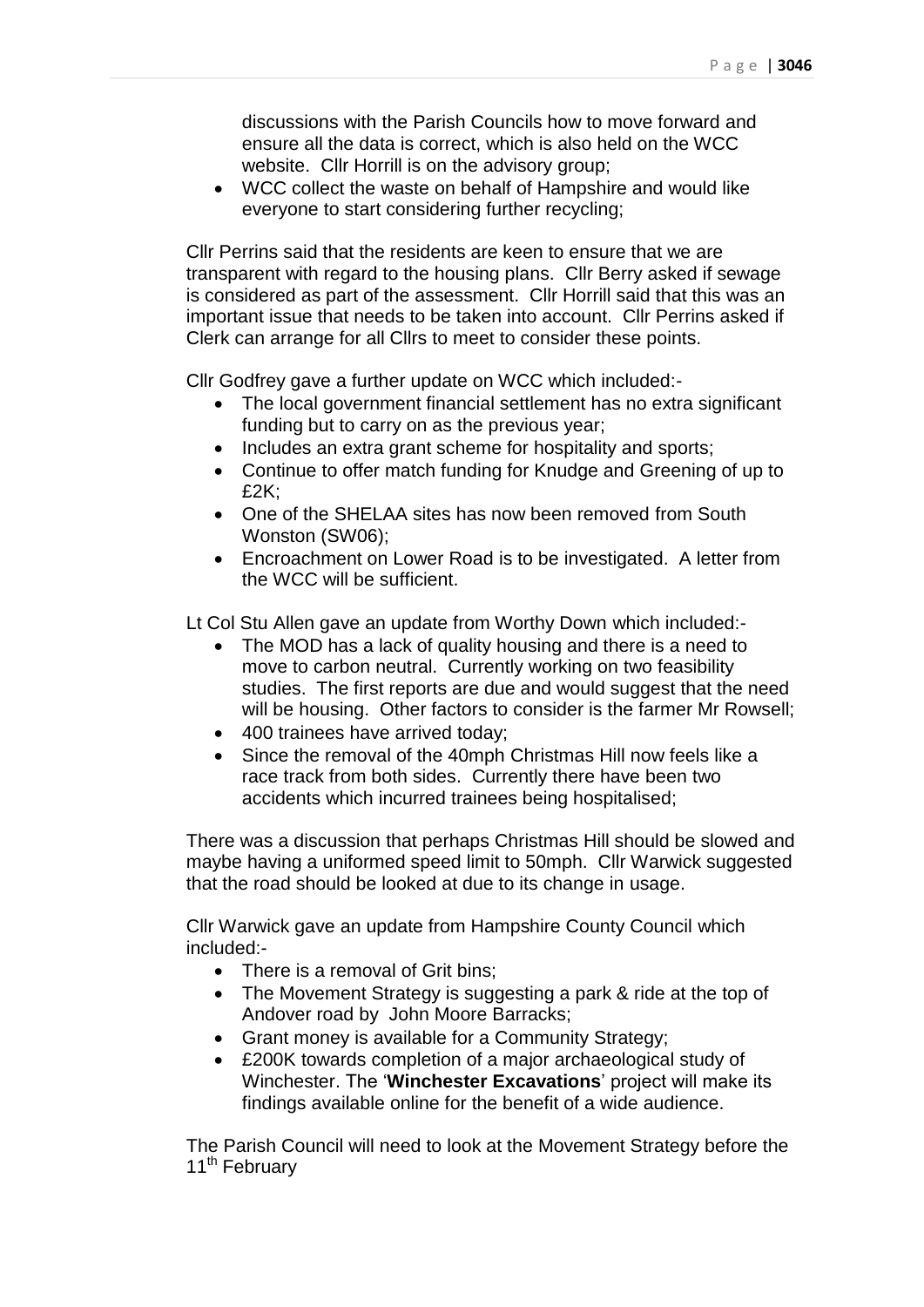discussions with the Parish Councils how to move forward and ensure all the data is correct, which is also held on the WCC website. Cllr Horrill is on the advisory group;

 WCC collect the waste on behalf of Hampshire and would like everyone to start considering further recycling;

Cllr Perrins said that the residents are keen to ensure that we are transparent with regard to the housing plans. Cllr Berry asked if sewage is considered as part of the assessment. Cllr Horrill said that this was an important issue that needs to be taken into account. Cllr Perrins asked if Clerk can arrange for all Cllrs to meet to consider these points.

Cllr Godfrey gave a further update on WCC which included:-

- The local government financial settlement has no extra significant funding but to carry on as the previous year;
- Includes an extra grant scheme for hospitality and sports;
- Continue to offer match funding for Knudge and Greening of up to £2K;
- One of the SHELAA sites has now been removed from South Wonston (SW06);
- Encroachment on Lower Road is to be investigated. A letter from the WCC will be sufficient.

Lt Col Stu Allen gave an update from Worthy Down which included:-

- The MOD has a lack of quality housing and there is a need to move to carbon neutral. Currently working on two feasibility studies. The first reports are due and would suggest that the need will be housing. Other factors to consider is the farmer Mr Rowsell;
- 400 trainees have arrived today;
- Since the removal of the 40mph Christmas Hill now feels like a race track from both sides. Currently there have been two accidents which incurred trainees being hospitalised;

There was a discussion that perhaps Christmas Hill should be slowed and maybe having a uniformed speed limit to 50mph. Cllr Warwick suggested that the road should be looked at due to its change in usage.

Cllr Warwick gave an update from Hampshire County Council which included:-

- There is a removal of Grit bins:
- The Movement Strategy is suggesting a park & ride at the top of Andover road by John Moore Barracks;
- Grant money is available for a Community Strategy;
- £200K towards completion of a major archaeological study of Winchester. The '**Winchester Excavations**' project will make its findings available online for the benefit of a wide audience.

The Parish Council will need to look at the Movement Strategy before the 11<sup>th</sup> February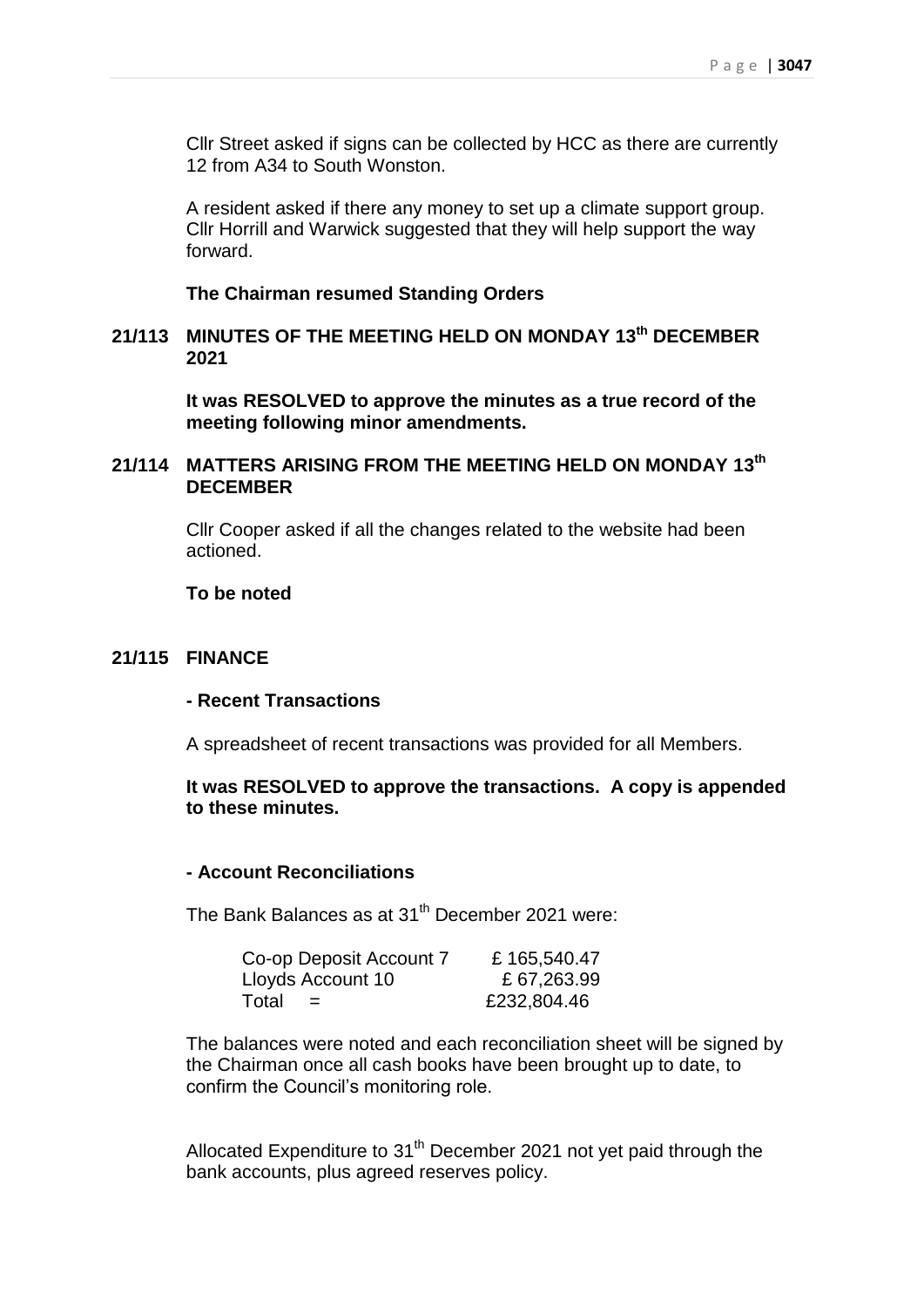Cllr Street asked if signs can be collected by HCC as there are currently 12 from A34 to South Wonston.

A resident asked if there any money to set up a climate support group. Cllr Horrill and Warwick suggested that they will help support the way forward.

#### **The Chairman resumed Standing Orders**

### **21/113 MINUTES OF THE MEETING HELD ON MONDAY 13 th DECEMBER 2021**

**It was RESOLVED to approve the minutes as a true record of the meeting following minor amendments.**

### **21/114 MATTERS ARISING FROM THE MEETING HELD ON MONDAY 13 th DECEMBER**

Cllr Cooper asked if all the changes related to the website had been actioned.

#### **To be noted**

### **21/115 FINANCE**

#### **- Recent Transactions**

A spreadsheet of recent transactions was provided for all Members.

### **It was RESOLVED to approve the transactions. A copy is appended to these minutes.**

#### **- Account Reconciliations**

The Bank Balances as at 31<sup>th</sup> December 2021 were:

| Co-op Deposit Account 7 | £165,540.47 |
|-------------------------|-------------|
| Lloyds Account 10       | £67,263.99  |
| Total<br>$=$            | £232,804.46 |

The balances were noted and each reconciliation sheet will be signed by the Chairman once all cash books have been brought up to date, to confirm the Council's monitoring role.

Allocated Expenditure to  $31<sup>th</sup>$  December 2021 not yet paid through the bank accounts, plus agreed reserves policy.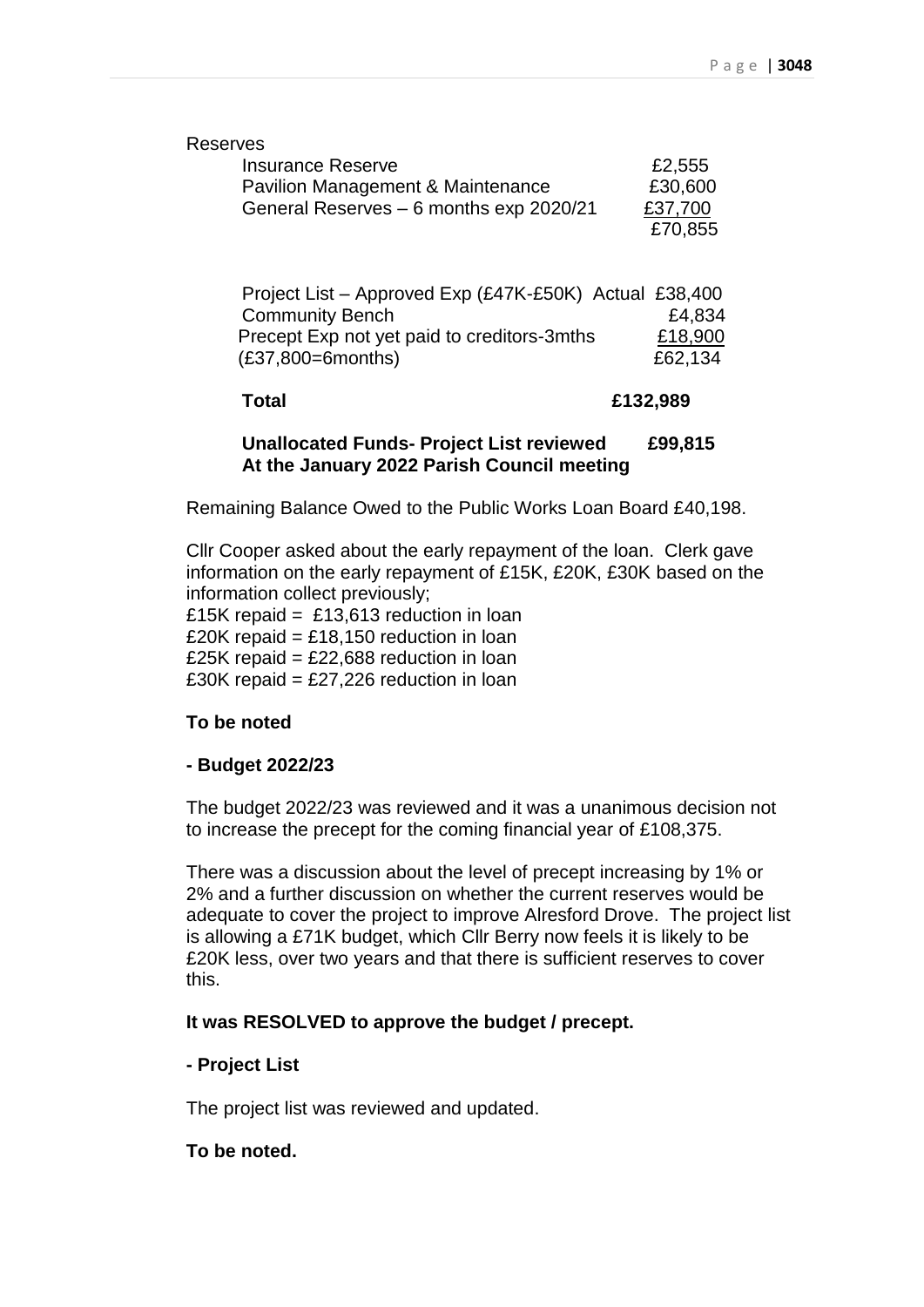| <b>Reserves</b>                                                                                                                                         |                              |
|---------------------------------------------------------------------------------------------------------------------------------------------------------|------------------------------|
| <b>Insurance Reserve</b>                                                                                                                                | £2,555                       |
| Pavilion Management & Maintenance                                                                                                                       | £30,600                      |
| General Reserves - 6 months exp 2020/21                                                                                                                 | £37,700                      |
|                                                                                                                                                         | £70,855                      |
| Project List - Approved Exp (£47K-£50K) Actual £38,400<br><b>Community Bench</b><br>Precept Exp not yet paid to creditors-3mths<br>$(E37,800=6$ months) | £4,834<br>£18,900<br>£62,134 |
| Total                                                                                                                                                   | £132,989                     |
|                                                                                                                                                         |                              |

#### **Unallocated Funds- Project List reviewed £99,815 At the January 2022 Parish Council meeting**

Remaining Balance Owed to the Public Works Loan Board £40,198.

Cllr Cooper asked about the early repayment of the loan. Clerk gave information on the early repayment of £15K, £20K, £30K based on the information collect previously; £15K repaid = £13,613 reduction in loan

£20K repaid = £18,150 reduction in loan £25K repaid = £22,688 reduction in loan

£30K repaid = £27,226 reduction in loan

# **To be noted**

### **- Budget 2022/23**

The budget 2022/23 was reviewed and it was a unanimous decision not to increase the precept for the coming financial year of £108,375.

There was a discussion about the level of precept increasing by 1% or 2% and a further discussion on whether the current reserves would be adequate to cover the project to improve Alresford Drove. The project list is allowing a £71K budget, which Cllr Berry now feels it is likely to be £20K less, over two years and that there is sufficient reserves to cover this.

### **It was RESOLVED to approve the budget / precept.**

### **- Project List**

The project list was reviewed and updated.

### **To be noted.**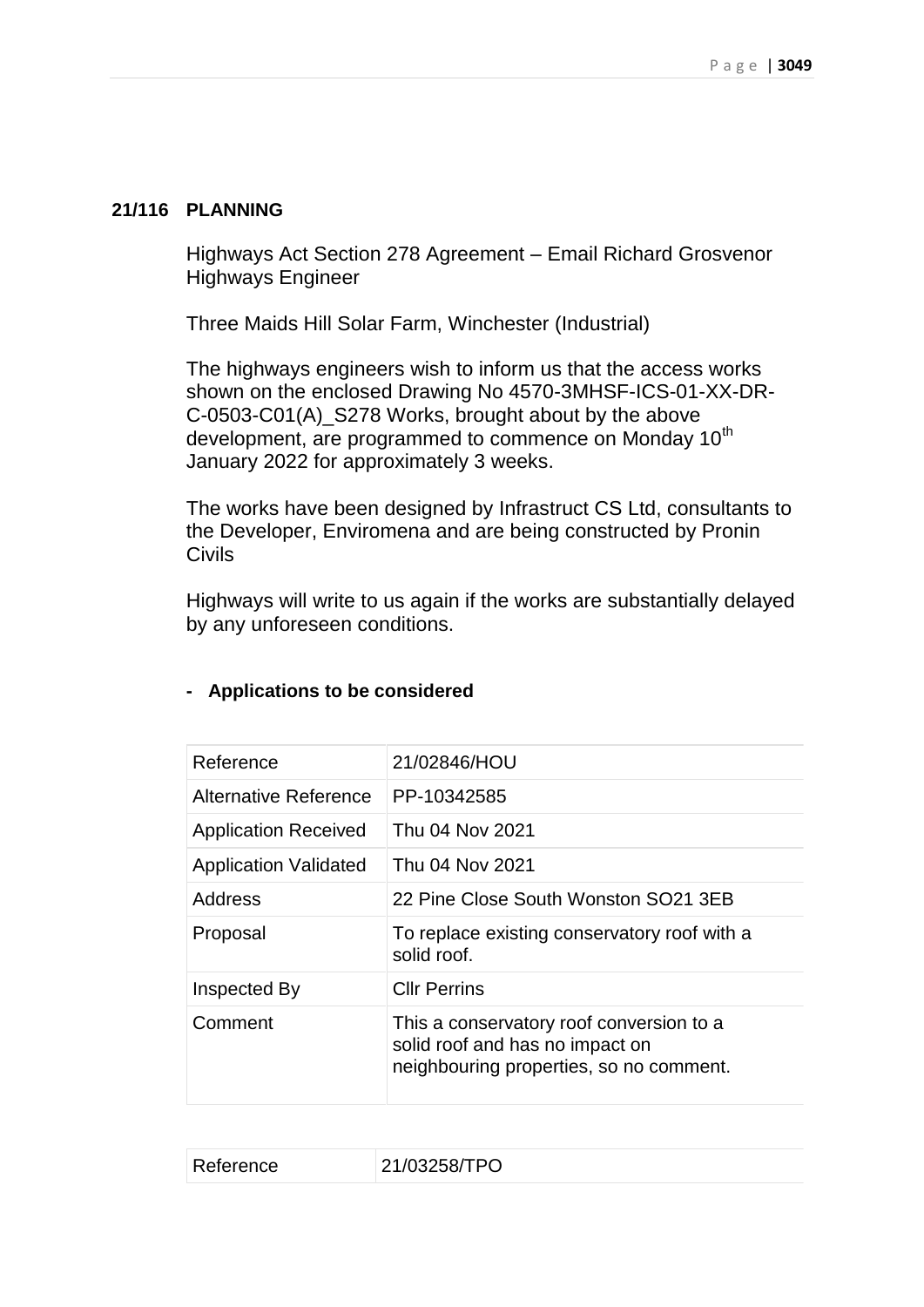### **21/116 PLANNING**

Highways Act Section 278 Agreement – Email Richard Grosvenor Highways Engineer

Three Maids Hill Solar Farm, Winchester (Industrial)

The highways engineers wish to inform us that the access works shown on the enclosed Drawing No 4570-3MHSF-ICS-01-XX-DR-C-0503-C01(A)\_S278 Works, brought about by the above development, are programmed to commence on Monday 10<sup>th</sup> January 2022 for approximately 3 weeks.

The works have been designed by Infrastruct CS Ltd, consultants to the Developer, Enviromena and are being constructed by Pronin Civils

Highways will write to us again if the works are substantially delayed by any unforeseen conditions.

| Reference                    | 21/02846/HOU                                                                                                           |
|------------------------------|------------------------------------------------------------------------------------------------------------------------|
| Alternative Reference        | PP-10342585                                                                                                            |
| <b>Application Received</b>  | Thu 04 Nov 2021                                                                                                        |
| <b>Application Validated</b> | Thu 04 Nov 2021                                                                                                        |
| Address                      | 22 Pine Close South Wonston SO21 3EB                                                                                   |
| Proposal                     | To replace existing conservatory roof with a<br>solid roof.                                                            |
| Inspected By                 | <b>Cllr Perrins</b>                                                                                                    |
| Comment                      | This a conservatory roof conversion to a<br>solid roof and has no impact on<br>neighbouring properties, so no comment. |
|                              |                                                                                                                        |

### **- Applications to be considered**

| 21/03258/TPO<br>Reference |
|---------------------------|
|---------------------------|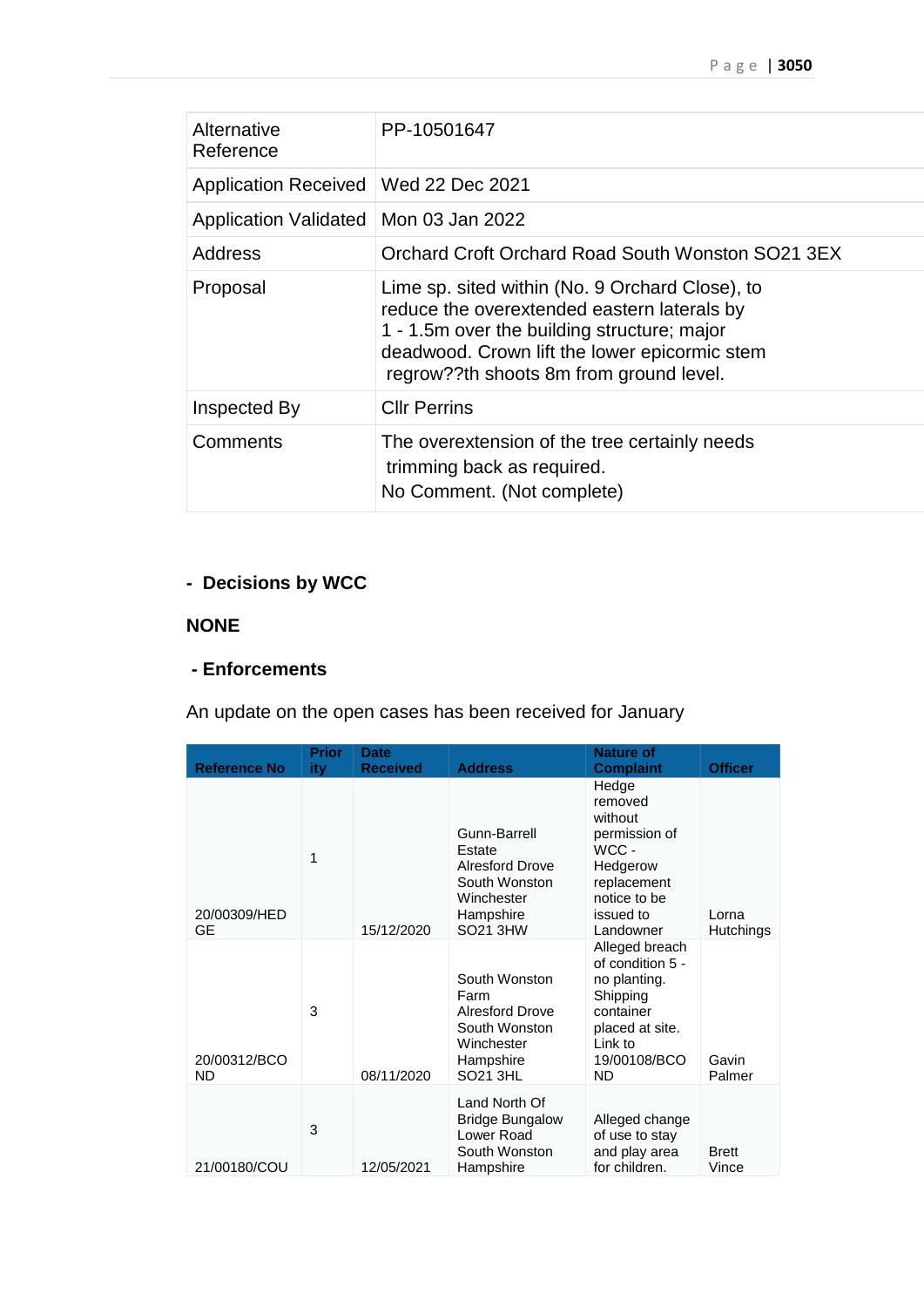| Alternative<br>Reference                | PP-10501647                                                                                                                                                                                                                               |
|-----------------------------------------|-------------------------------------------------------------------------------------------------------------------------------------------------------------------------------------------------------------------------------------------|
| Application Received   Wed 22 Dec 2021  |                                                                                                                                                                                                                                           |
| Application Validated   Mon 03 Jan 2022 |                                                                                                                                                                                                                                           |
| Address                                 | Orchard Croft Orchard Road South Wonston SO21 3EX                                                                                                                                                                                         |
| Proposal                                | Lime sp. sited within (No. 9 Orchard Close), to<br>reduce the overextended eastern laterals by<br>1 - 1.5m over the building structure; major<br>deadwood. Crown lift the lower epicormic stem<br>regrow??th shoots 8m from ground level. |
| Inspected By                            | <b>CIIr Perrins</b>                                                                                                                                                                                                                       |
| Comments                                | The overextension of the tree certainly needs<br>trimming back as required.<br>No Comment. (Not complete)                                                                                                                                 |

## **- Decisions by WCC**

### **NONE**

### **- Enforcements**

An update on the open cases has been received for January

| <b>Reference No</b>       | <b>Prior</b><br><b>ity</b> | <b>Date</b><br><b>Received</b> | <b>Address</b>                                                                                                  | <b>Nature of</b><br><b>Complaint</b>                                                                                                   | <b>Officer</b>            |
|---------------------------|----------------------------|--------------------------------|-----------------------------------------------------------------------------------------------------------------|----------------------------------------------------------------------------------------------------------------------------------------|---------------------------|
| 20/00309/HED<br>GE        | 1                          | 15/12/2020                     | Gunn-Barrell<br>Estate<br><b>Alresford Drove</b><br>South Wonston<br>Winchester<br>Hampshire<br><b>SO21 3HW</b> | Hedge<br>removed<br>without<br>permission of<br>WCC -<br>Hedgerow<br>replacement<br>notice to be<br>issued to<br>Landowner             | Lorna<br><b>Hutchings</b> |
| 20/00312/BCO<br><b>ND</b> | 3                          | 08/11/2020                     | South Wonston<br>Farm<br><b>Alresford Drove</b><br>South Wonston<br>Winchester<br>Hampshire<br><b>SO21 3HL</b>  | Alleged breach<br>of condition 5 -<br>no planting.<br>Shipping<br>container<br>placed at site.<br>Link to<br>19/00108/BCO<br><b>ND</b> | Gavin<br>Palmer           |
| 21/00180/COU              | 3                          | 12/05/2021                     | Land North Of<br><b>Bridge Bungalow</b><br>Lower Road<br>South Wonston<br>Hampshire                             | Alleged change<br>of use to stay<br>and play area<br>for children.                                                                     | <b>Brett</b><br>Vince     |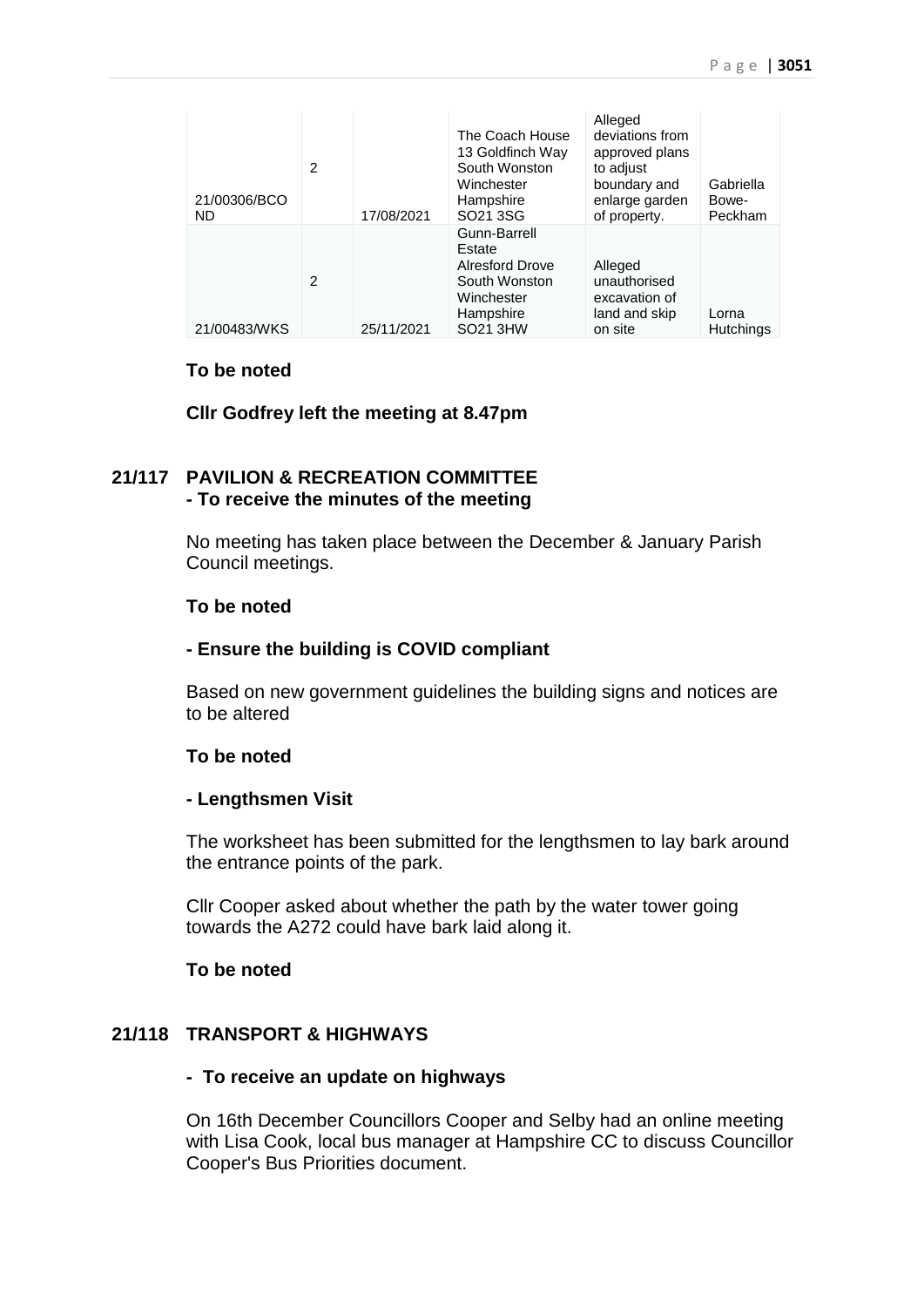| 21/00306/BCO<br><b>ND</b> | $\overline{2}$ | 17/08/2021 | The Coach House<br>13 Goldfinch Way<br>South Wonston<br>Winchester<br>Hampshire<br>SO <sub>21</sub> 3SG  | Alleged<br>deviations from<br>approved plans<br>to adjust<br>boundary and<br>enlarge garden<br>of property. | Gabriella<br>Bowe-<br>Peckham |
|---------------------------|----------------|------------|----------------------------------------------------------------------------------------------------------|-------------------------------------------------------------------------------------------------------------|-------------------------------|
| 21/00483/WKS              | 2              | 25/11/2021 | Gunn-Barrell<br>Estate<br><b>Alresford Drove</b><br>South Wonston<br>Winchester<br>Hampshire<br>SO21 3HW | Alleged<br>unauthorised<br>excavation of<br>land and skip<br>on site                                        | Lorna<br><b>Hutchings</b>     |

#### **To be noted**

**Cllr Godfrey left the meeting at 8.47pm**

### **21/117 PAVILION & RECREATION COMMITTEE - To receive the minutes of the meeting**

No meeting has taken place between the December & January Parish Council meetings.

### **To be noted**

#### **- Ensure the building is COVID compliant**

Based on new government guidelines the building signs and notices are to be altered

#### **To be noted**

#### **- Lengthsmen Visit**

The worksheet has been submitted for the lengthsmen to lay bark around the entrance points of the park.

Cllr Cooper asked about whether the path by the water tower going towards the A272 could have bark laid along it.

#### **To be noted**

### **21/118 TRANSPORT & HIGHWAYS**

### **- To receive an update on highways**

On 16th December Councillors Cooper and Selby had an online meeting with Lisa Cook, local bus manager at Hampshire CC to discuss Councillor Cooper's Bus Priorities document.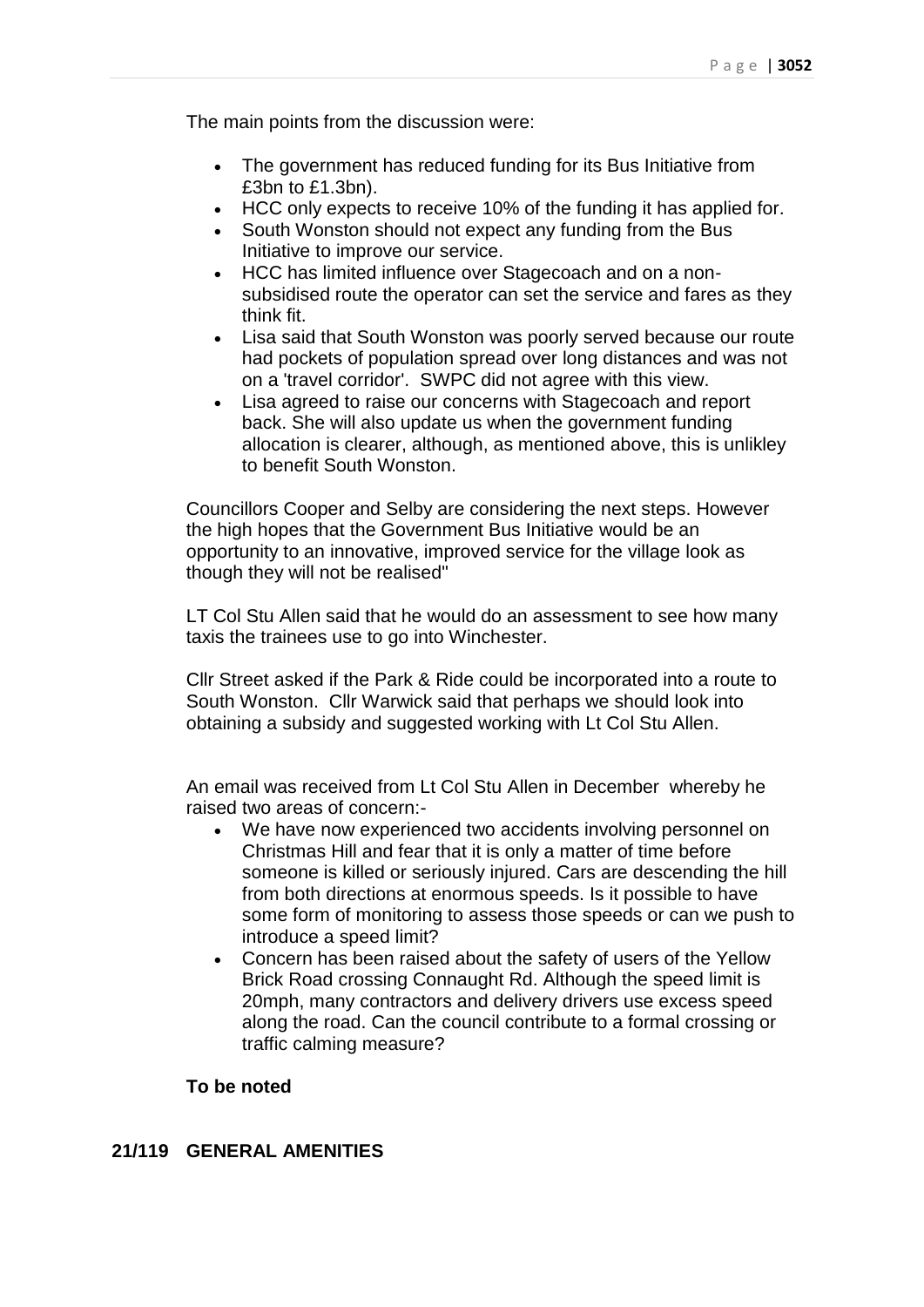The main points from the discussion were:

- The government has reduced funding for its Bus Initiative from £3bn to £1.3bn).
- HCC only expects to receive 10% of the funding it has applied for.
- South Wonston should not expect any funding from the Bus Initiative to improve our service.
- HCC has limited influence over Stagecoach and on a nonsubsidised route the operator can set the service and fares as they think fit.
- Lisa said that South Wonston was poorly served because our route had pockets of population spread over long distances and was not on a 'travel corridor'. SWPC did not agree with this view.
- Lisa agreed to raise our concerns with Stagecoach and report back. She will also update us when the government funding allocation is clearer, although, as mentioned above, this is unlikley to benefit South Wonston.

Councillors Cooper and Selby are considering the next steps. However the high hopes that the Government Bus Initiative would be an opportunity to an innovative, improved service for the village look as though they will not be realised"

LT Col Stu Allen said that he would do an assessment to see how many taxis the trainees use to go into Winchester.

Cllr Street asked if the Park & Ride could be incorporated into a route to South Wonston. Cllr Warwick said that perhaps we should look into obtaining a subsidy and suggested working with Lt Col Stu Allen.

An email was received from Lt Col Stu Allen in December whereby he raised two areas of concern:-

- We have now experienced two accidents involving personnel on Christmas Hill and fear that it is only a matter of time before someone is killed or seriously injured. Cars are descending the hill from both directions at enormous speeds. Is it possible to have some form of monitoring to assess those speeds or can we push to introduce a speed limit?
- Concern has been raised about the safety of users of the Yellow Brick Road crossing Connaught Rd. Although the speed limit is 20mph, many contractors and delivery drivers use excess speed along the road. Can the council contribute to a formal crossing or traffic calming measure?

### **To be noted**

### **21/119 GENERAL AMENITIES**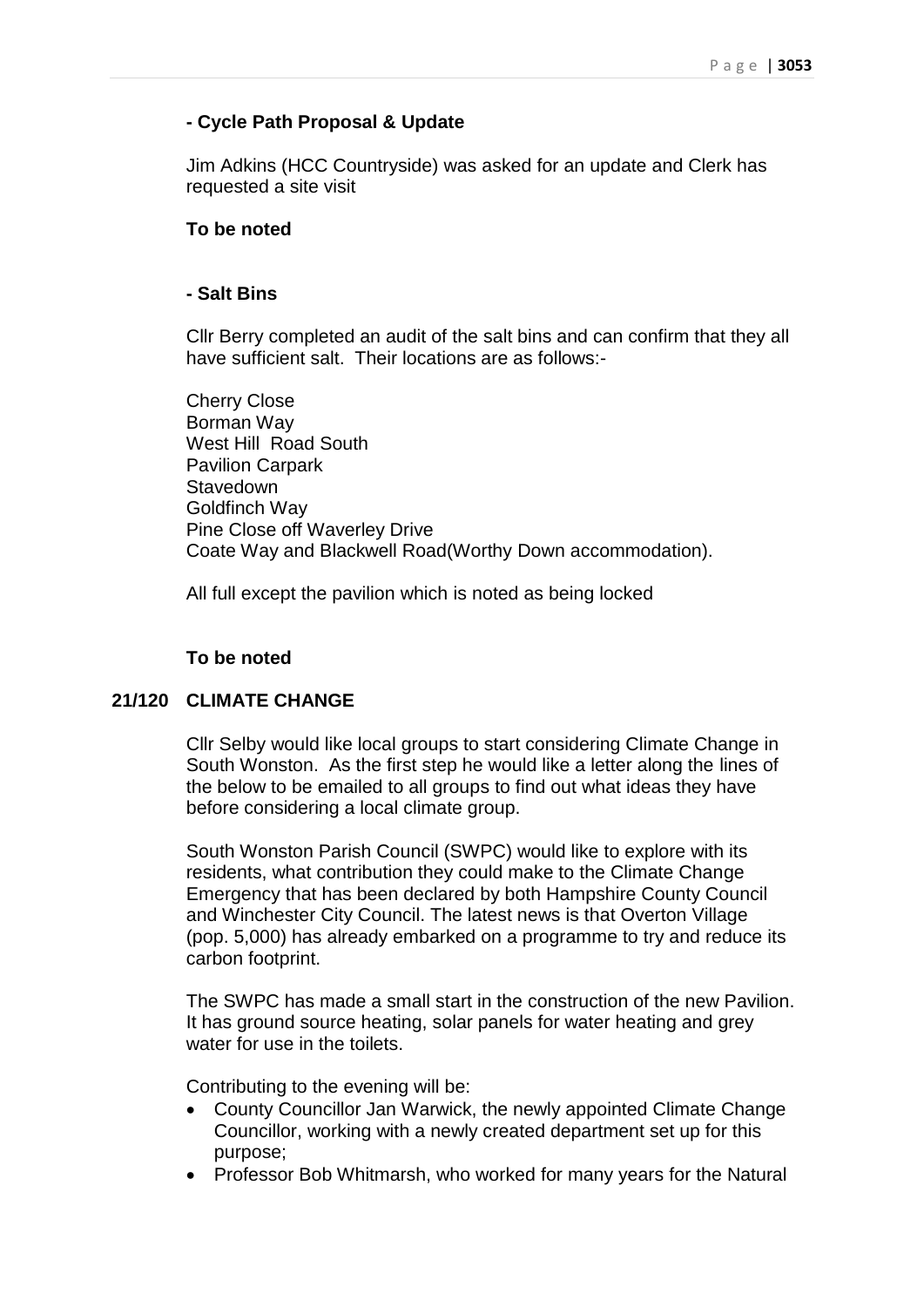### **- Cycle Path Proposal & Update**

Jim Adkins (HCC Countryside) was asked for an update and Clerk has requested a site visit

### **To be noted**

#### **- Salt Bins**

Cllr Berry completed an audit of the salt bins and can confirm that they all have sufficient salt. Their locations are as follows:-

Cherry Close Borman Way West Hill Road South Pavilion Carpark **Stavedown** Goldfinch Way Pine Close off Waverley Drive Coate Way and Blackwell Road(Worthy Down accommodation).

All full except the pavilion which is noted as being locked

### **To be noted**

### **21/120 CLIMATE CHANGE**

Cllr Selby would like local groups to start considering Climate Change in South Wonston. As the first step he would like a letter along the lines of the below to be emailed to all groups to find out what ideas they have before considering a local climate group.

South Wonston Parish Council (SWPC) would like to explore with its residents, what contribution they could make to the Climate Change Emergency that has been declared by both Hampshire County Council and Winchester City Council. The latest news is that Overton Village (pop. 5,000) has already embarked on a programme to try and reduce its carbon footprint.

The SWPC has made a small start in the construction of the new Pavilion. It has ground source heating, solar panels for water heating and grey water for use in the toilets.

Contributing to the evening will be:

- County Councillor Jan Warwick, the newly appointed Climate Change Councillor, working with a newly created department set up for this purpose;
- Professor Bob Whitmarsh, who worked for many years for the Natural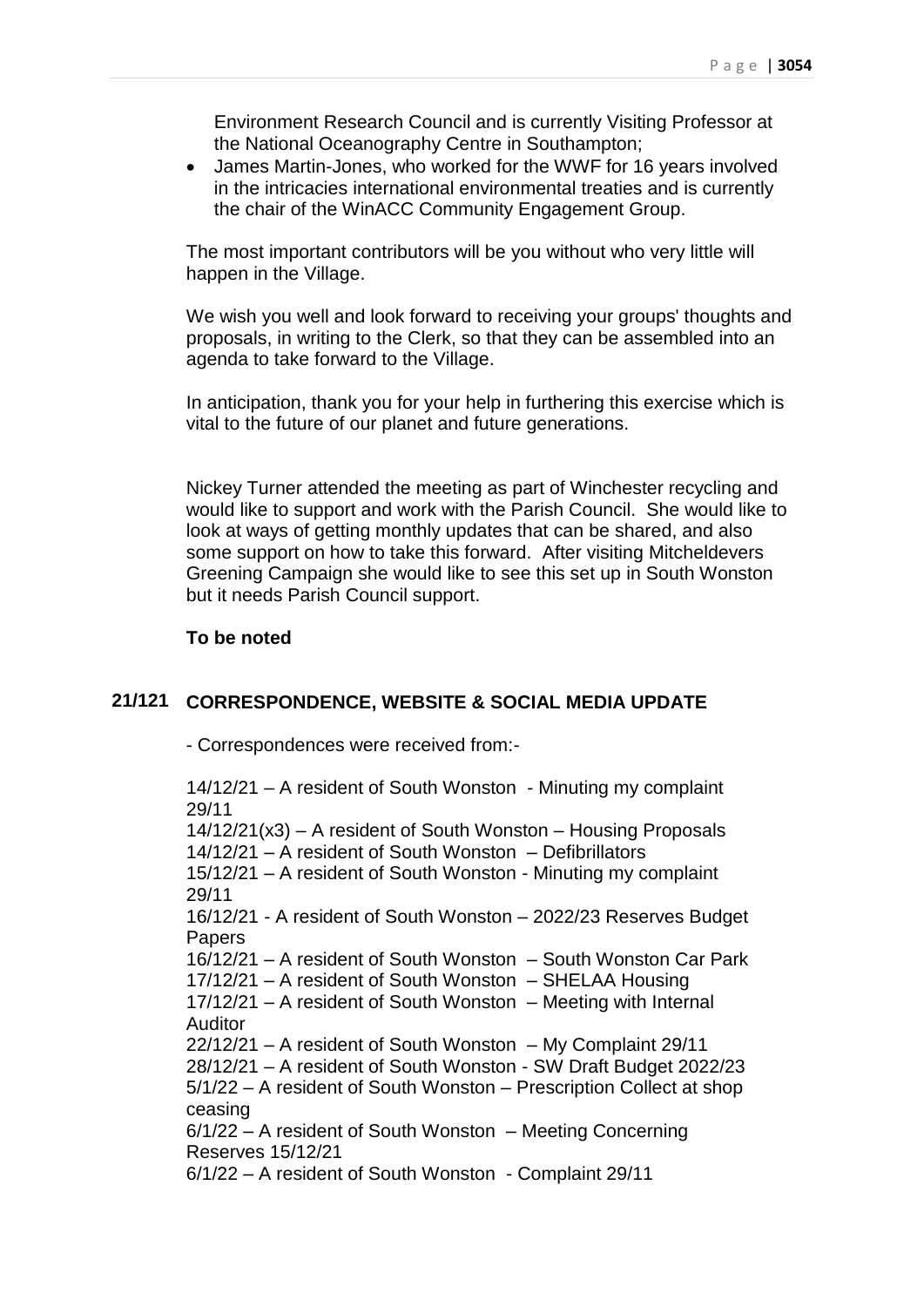Environment Research Council and is currently Visiting Professor at the National Oceanography Centre in Southampton;

 James Martin-Jones, who worked for the WWF for 16 years involved in the intricacies international environmental treaties and is currently the chair of the WinACC Community Engagement Group.

The most important contributors will be you without who very little will happen in the Village.

We wish you well and look forward to receiving your groups' thoughts and proposals, in writing to the Clerk, so that they can be assembled into an agenda to take forward to the Village.

In anticipation, thank you for your help in furthering this exercise which is vital to the future of our planet and future generations.

Nickey Turner attended the meeting as part of Winchester recycling and would like to support and work with the Parish Council. She would like to look at ways of getting monthly updates that can be shared, and also some support on how to take this forward. After visiting Mitcheldevers Greening Campaign she would like to see this set up in South Wonston but it needs Parish Council support.

### **To be noted**

### **21/121 CORRESPONDENCE, WEBSITE & SOCIAL MEDIA UPDATE**

- Correspondences were received from:-

14/12/21 – A resident of South Wonston - Minuting my complaint 29/11 14/12/21(x3) – A resident of South Wonston – Housing Proposals 14/12/21 – A resident of South Wonston – Defibrillators 15/12/21 – A resident of South Wonston - Minuting my complaint 29/11 16/12/21 - A resident of South Wonston – 2022/23 Reserves Budget **Papers** 16/12/21 – A resident of South Wonston – South Wonston Car Park 17/12/21 – A resident of South Wonston – SHELAA Housing 17/12/21 – A resident of South Wonston – Meeting with Internal Auditor 22/12/21 – A resident of South Wonston – My Complaint 29/11 28/12/21 – A resident of South Wonston - SW Draft Budget 2022/23 5/1/22 – A resident of South Wonston – Prescription Collect at shop ceasing 6/1/22 – A resident of South Wonston – Meeting Concerning Reserves 15/12/21 6/1/22 – A resident of South Wonston - Complaint 29/11